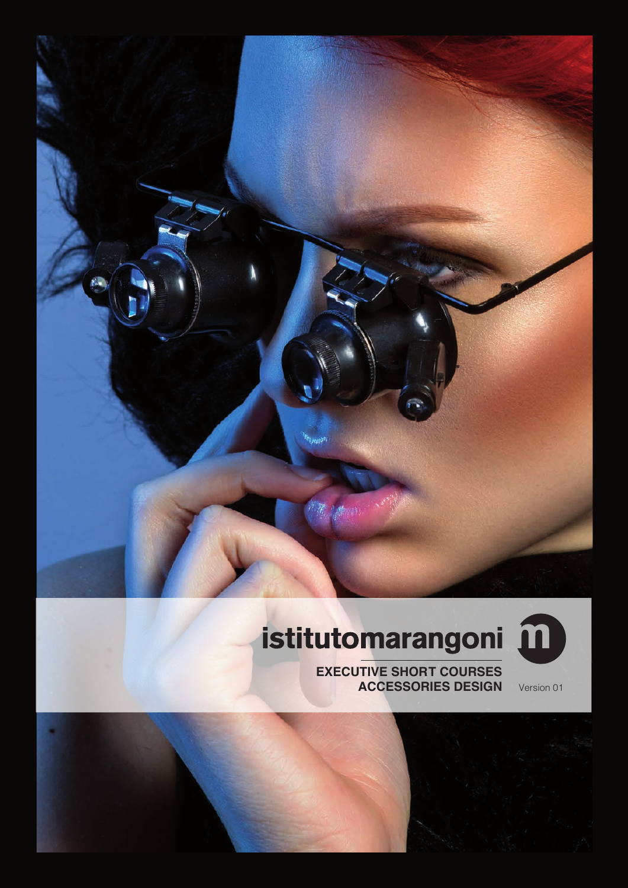

# istitutomarangoni m



**EXECUTIVE SHORT COURSES ACCESSORIES DESIGN** Version 01

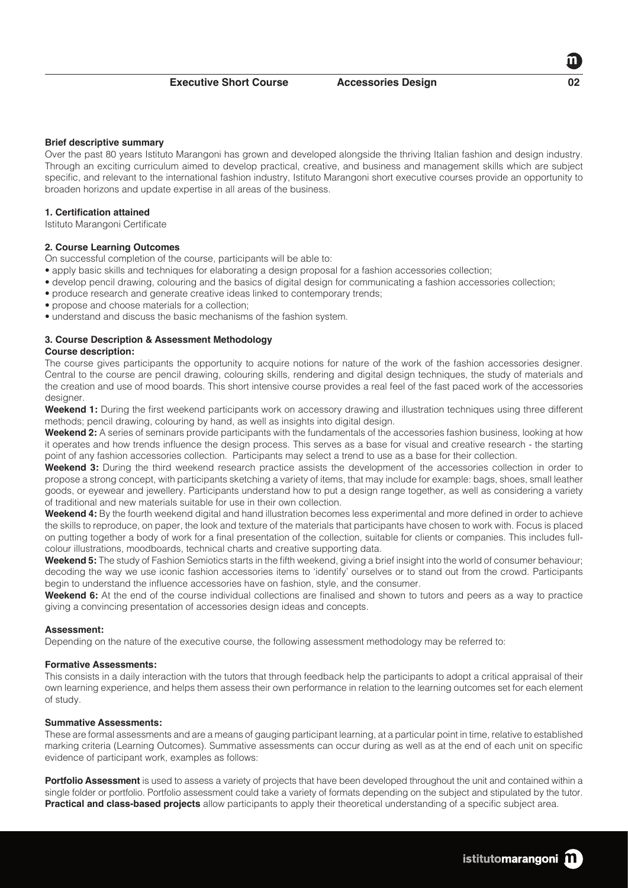## **Brief descriptive summary**

Over the past 80 years Istituto Marangoni has grown and developed alongside the thriving Italian fashion and design industry. Through an exciting curriculum aimed to develop practical, creative, and business and management skills which are subject specific, and relevant to the international fashion industry, Istituto Marangoni short executive courses provide an opportunity to broaden horizons and update expertise in all areas of the business.

## **1. Certification attained**

Istituto Marangoni Certificate

## **2. Course Learning Outcomes**

On successful completion of the course, participants will be able to:

- apply basic skills and techniques for elaborating a design proposal for a fashion accessories collection;
- develop pencil drawing, colouring and the basics of digital design for communicating a fashion accessories collection;
- produce research and generate creative ideas linked to contemporary trends;
- propose and choose materials for a collection;
- understand and discuss the basic mechanisms of the fashion system.

## **3. Course Description & Assessment Methodology**

#### **Course description:**

The course gives participants the opportunity to acquire notions for nature of the work of the fashion accessories designer. Central to the course are pencil drawing, colouring skills, rendering and digital design techniques, the study of materials and the creation and use of mood boards. This short intensive course provides a real feel of the fast paced work of the accessories designer.

**Weekend 1:** During the first weekend participants work on accessory drawing and illustration techniques using three different methods; pencil drawing, colouring by hand, as well as insights into digital design.

**Weekend 2:** A series of seminars provide participants with the fundamentals of the accessories fashion business, looking at how it operates and how trends influence the design process. This serves as a base for visual and creative research - the starting point of any fashion accessories collection. Participants may select a trend to use as a base for their collection.

**Weekend 3:** During the third weekend research practice assists the development of the accessories collection in order to propose a strong concept, with participants sketching a variety of items, that may include for example: bags, shoes, small leather goods, or eyewear and jewellery. Participants understand how to put a design range together, as well as considering a variety of traditional and new materials suitable for use in their own collection.

**Weekend 4:** By the fourth weekend digital and hand illustration becomes less experimental and more defined in order to achieve the skills to reproduce, on paper, the look and texture of the materials that participants have chosen to work with. Focus is placed on putting together a body of work for a final presentation of the collection, suitable for clients or companies. This includes fullcolour illustrations, moodboards, technical charts and creative supporting data.

**Weekend 5:** The study of Fashion Semiotics starts in the fifth weekend, giving a brief insight into the world of consumer behaviour; decoding the way we use iconic fashion accessories items to 'identify' ourselves or to stand out from the crowd. Participants begin to understand the influence accessories have on fashion, style, and the consumer.

**Weekend 6:** At the end of the course individual collections are finalised and shown to tutors and peers as a way to practice giving a convincing presentation of accessories design ideas and concepts.

## **Assessment:**

Depending on the nature of the executive course, the following assessment methodology may be referred to:

#### **Formative Assessments:**

This consists in a daily interaction with the tutors that through feedback help the participants to adopt a critical appraisal of their own learning experience, and helps them assess their own performance in relation to the learning outcomes set for each element of study.

## **Summative Assessments:**

These are formal assessments and are a means of gauging participant learning, at a particular point in time, relative to established marking criteria (Learning Outcomes). Summative assessments can occur during as well as at the end of each unit on specific evidence of participant work, examples as follows:

**Portfolio Assessment** is used to assess a variety of projects that have been developed throughout the unit and contained within a single folder or portfolio. Portfolio assessment could take a variety of formats depending on the subject and stipulated by the tutor. **Practical and class-based projects** allow participants to apply their theoretical understanding of a specific subject area.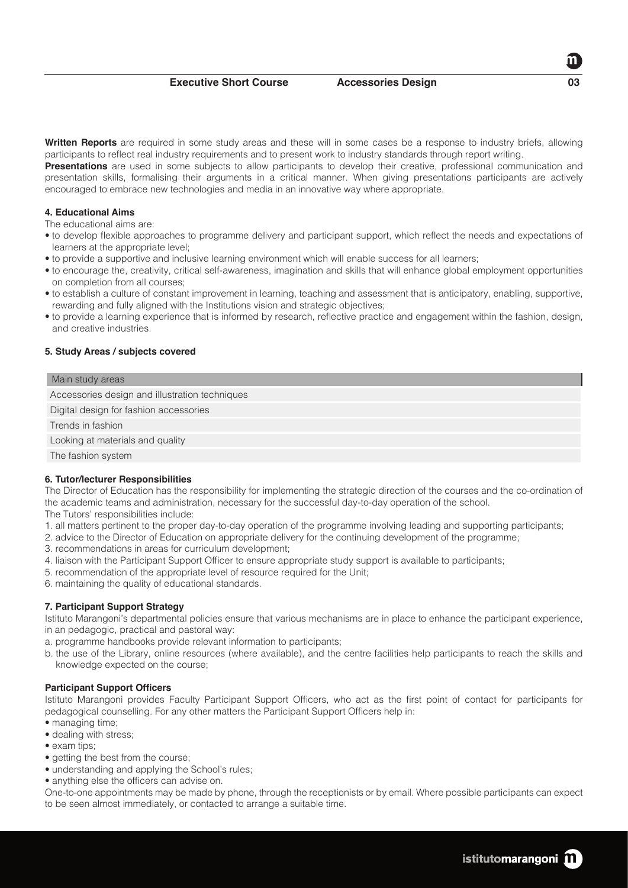**Executive Short Course <b>Accessories Design** 

**Written Reports** are required in some study areas and these will in some cases be a response to industry briefs, allowing participants to reflect real industry requirements and to present work to industry standards through report writing.

**Presentations** are used in some subjects to allow participants to develop their creative, professional communication and presentation skills, formalising their arguments in a critical manner. When giving presentations participants are actively encouraged to embrace new technologies and media in an innovative way where appropriate.

# **4. Educational Aims**

The educational aims are:

- to develop flexible approaches to programme delivery and participant support, which reflect the needs and expectations of learners at the appropriate level;
- to provide a supportive and inclusive learning environment which will enable success for all learners;
- to encourage the, creativity, critical self-awareness, imagination and skills that will enhance global employment opportunities on completion from all courses;
- to establish a culture of constant improvement in learning, teaching and assessment that is anticipatory, enabling, supportive, rewarding and fully aligned with the Institutions vision and strategic objectives;
- to provide a learning experience that is informed by research, reflective practice and engagement within the fashion, design, and creative industries.

## **5. Study Areas / subjects covered**

#### Main study areas

Accessories design and illustration techniques

Digital design for fashion accessories

Trends in fashion

Looking at materials and quality

The fashion system

## **6. Tutor/lecturer Responsibilities**

The Director of Education has the responsibility for implementing the strategic direction of the courses and the co-ordination of the academic teams and administration, necessary for the successful day-to-day operation of the school.

The Tutors' responsibilities include:

- 1. all matters pertinent to the proper day-to-day operation of the programme involving leading and supporting participants;
- 2. advice to the Director of Education on appropriate delivery for the continuing development of the programme;
- 3. recommendations in areas for curriculum development;
- 4. liaison with the Participant Support Officer to ensure appropriate study support is available to participants;
- 5. recommendation of the appropriate level of resource required for the Unit;
- 6. maintaining the quality of educational standards.

# **7. Participant Support Strategy**

Istituto Marangoni's departmental policies ensure that various mechanisms are in place to enhance the participant experience, in an pedagogic, practical and pastoral way:

- a. programme handbooks provide relevant information to participants;
- b. the use of the Library, online resources (where available), and the centre facilities help participants to reach the skills and knowledge expected on the course;

## **Participant Support Officers**

Istituto Marangoni provides Faculty Participant Support Officers, who act as the first point of contact for participants for pedagogical counselling. For any other matters the Participant Support Officers help in:

- managing time:
- dealing with stress;
- exam tips:
- getting the best from the course:
- understanding and applying the School's rules;
- anything else the officers can advise on.

One-to-one appointments may be made by phone, through the receptionists or by email. Where possible participants can expect to be seen almost immediately, or contacted to arrange a suitable time.